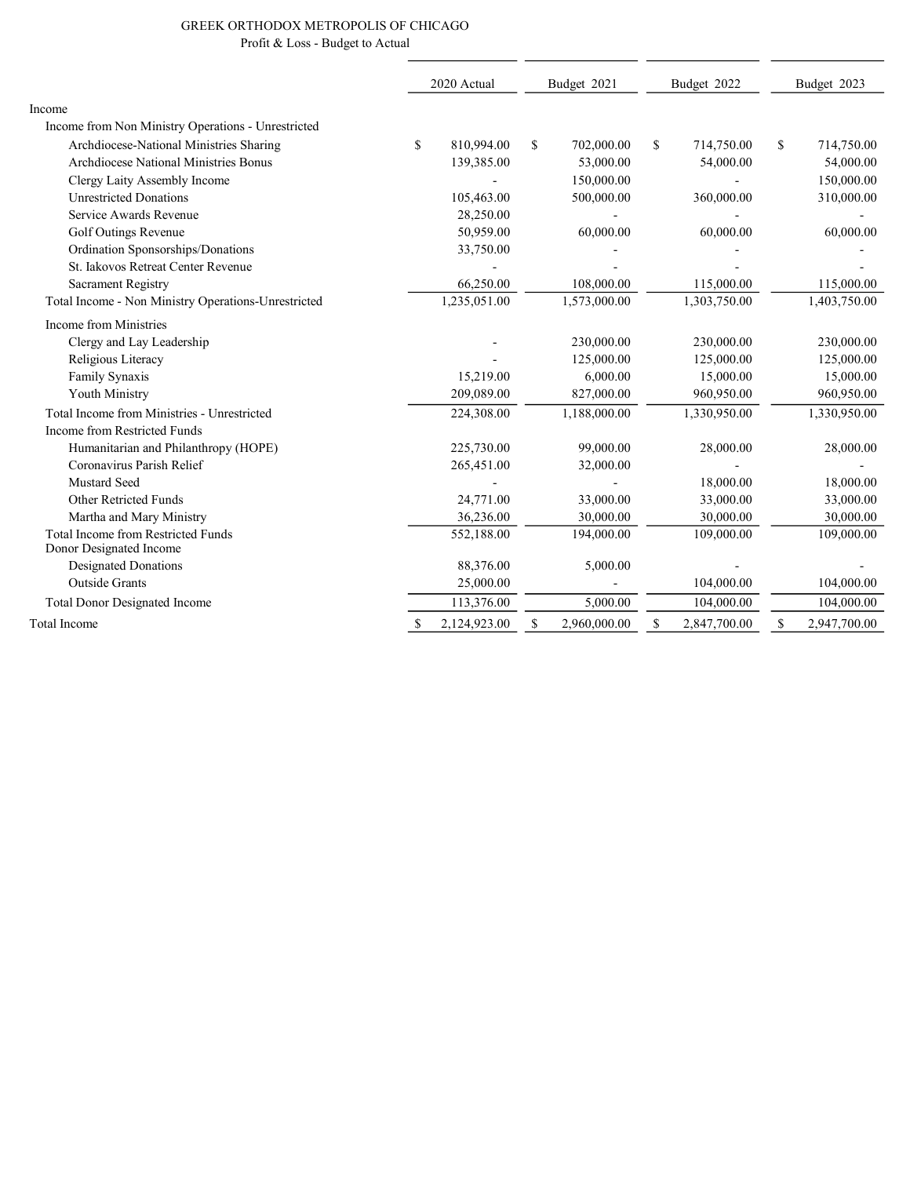## GREEK ORTHODOX METROPOLIS OF CHICAGO Profit & Loss - Budget to Actual

|                                                                      | 2020 Actual |              | Budget 2021  |              | Budget 2022 |              | Budget 2023        |  |
|----------------------------------------------------------------------|-------------|--------------|--------------|--------------|-------------|--------------|--------------------|--|
| Income                                                               |             |              |              |              |             |              |                    |  |
| Income from Non Ministry Operations - Unrestricted                   |             |              |              |              |             |              |                    |  |
| Archdiocese-National Ministries Sharing                              | \$          | 810,994.00   | \$           | 702,000.00   | S.          | 714,750.00   | \$<br>714,750.00   |  |
| <b>Archdiocese National Ministries Bonus</b>                         |             | 139,385.00   |              | 53,000.00    |             | 54,000.00    | 54,000.00          |  |
| Clergy Laity Assembly Income                                         |             |              |              | 150,000.00   |             |              | 150,000.00         |  |
| <b>Unrestricted Donations</b>                                        |             | 105,463.00   |              | 500,000.00   |             | 360,000.00   | 310,000.00         |  |
| Service Awards Revenue                                               |             | 28,250.00    |              |              |             |              |                    |  |
| Golf Outings Revenue                                                 |             | 50,959.00    |              | 60,000.00    |             | 60,000.00    | 60,000.00          |  |
| Ordination Sponsorships/Donations                                    |             | 33,750.00    |              |              |             |              |                    |  |
| St. Iakovos Retreat Center Revenue                                   |             |              |              |              |             |              |                    |  |
| <b>Sacrament Registry</b>                                            |             | 66,250.00    |              | 108,000.00   |             | 115,000.00   | 115,000.00         |  |
| Total Income - Non Ministry Operations-Unrestricted                  |             | 1,235,051.00 |              | 1,573,000.00 |             | 1,303,750.00 | 1,403,750.00       |  |
| Income from Ministries                                               |             |              |              |              |             |              |                    |  |
| Clergy and Lay Leadership                                            |             |              |              | 230,000.00   |             | 230,000.00   | 230,000.00         |  |
| Religious Literacy                                                   |             |              |              | 125,000.00   |             | 125,000.00   | 125,000.00         |  |
| Family Synaxis                                                       |             | 15,219.00    |              | 6,000.00     |             | 15,000.00    | 15,000.00          |  |
| Youth Ministry                                                       |             | 209,089.00   |              | 827,000.00   |             | 960,950.00   | 960,950.00         |  |
| Total Income from Ministries - Unrestricted                          |             | 224,308.00   |              | 1,188,000.00 |             | 1,330,950.00 | 1,330,950.00       |  |
| Income from Restricted Funds                                         |             |              |              |              |             |              |                    |  |
| Humanitarian and Philanthropy (HOPE)                                 |             | 225,730.00   |              | 99,000.00    |             | 28,000.00    | 28,000.00          |  |
| Coronavirus Parish Relief                                            |             | 265,451.00   |              | 32,000.00    |             |              |                    |  |
| Mustard Seed                                                         |             |              |              |              |             | 18,000.00    | 18,000.00          |  |
| <b>Other Retricted Funds</b>                                         |             | 24,771.00    |              | 33,000.00    |             | 33,000.00    | 33,000.00          |  |
| Martha and Mary Ministry                                             |             | 36,236.00    |              | 30,000.00    |             | 30,000.00    | 30,000.00          |  |
| <b>Total Income from Restricted Funds</b><br>Donor Designated Income |             | 552,188.00   |              | 194,000.00   |             | 109,000.00   | 109,000.00         |  |
| <b>Designated Donations</b>                                          |             | 88,376.00    |              | 5,000.00     |             |              |                    |  |
| <b>Outside Grants</b>                                                |             | 25,000.00    |              |              |             | 104,000.00   | 104,000.00         |  |
| <b>Total Donor Designated Income</b>                                 |             | 113,376.00   |              | 5,000.00     |             | 104,000.00   | 104,000.00         |  |
| <b>Total Income</b>                                                  | S           | 2.124.923.00 | $\mathbb{S}$ | 2.960,000.00 | \$          | 2,847,700.00 | \$<br>2,947,700.00 |  |